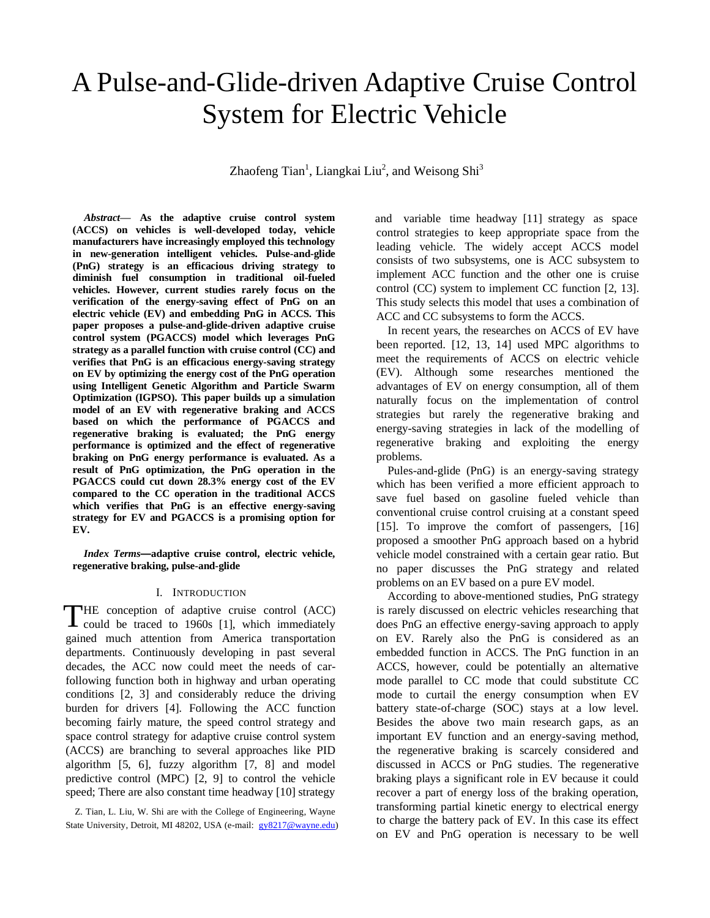# A Pulse-and-Glide-driven Adaptive Cruise Control System for Electric Vehicle

Zhaofeng Tian<sup>1</sup>, Liangkai Liu<sup>2</sup>, and Weisong Shi<sup>3</sup>

*Abstract—* **As the adaptive cruise control system (ACCS) on vehicles is well-developed today, vehicle manufacturers have increasingly employed this technology in new-generation intelligent vehicles. Pulse-and-glide (PnG) strategy is an efficacious driving strategy to diminish fuel consumption in traditional oil-fueled vehicles. However, current studies rarely focus on the verification of the energy-saving effect of PnG on an electric vehicle (EV) and embedding PnG in ACCS. This paper proposes a pulse-and-glide-driven adaptive cruise control system (PGACCS) model which leverages PnG strategy as a parallel function with cruise control (CC) and verifies that PnG is an efficacious energy-saving strategy on EV by optimizing the energy cost of the PnG operation using Intelligent Genetic Algorithm and Particle Swarm Optimization (IGPSO). This paper builds up a simulation model of an EV with regenerative braking and ACCS based on which the performance of PGACCS and regenerative braking is evaluated; the PnG energy performance is optimized and the effect of regenerative braking on PnG energy performance is evaluated. As a result of PnG optimization, the PnG operation in the PGACCS could cut down 28.3% energy cost of the EV compared to the CC operation in the traditional ACCS which verifies that PnG is an effective energy-saving strategy for EV and PGACCS is a promising option for EV.**

*Index Terms—***adaptive cruise control, electric vehicle, regenerative braking, pulse-and-glide**

#### I. INTRODUCTION

HE conception of adaptive cruise control (ACC) THE conception of adaptive cruise control (ACC) could be traced to 1960s [1], which immediately gained much attention from America transportation departments. Continuously developing in past several decades, the ACC now could meet the needs of carfollowing function both in highway and urban operating conditions [2, 3] and considerably reduce the driving burden for drivers [4]. Following the ACC function becoming fairly mature, the speed control strategy and space control strategy for adaptive cruise control system (ACCS) are branching to several approaches like PID algorithm [5, 6], fuzzy algorithm [7, 8] and model predictive control (MPC) [2, 9] to control the vehicle speed; There are also constant time headway [10] strategy

 Z. Tian, L. Liu, W. Shi are with the College of Engineering, Wayne State University, Detroit, MI 48202, USA (e-mail: [gy8217@wayne.edu\)](mailto:gy8217@wayne.edu)  and variable time headway [11] strategy as space control strategies to keep appropriate space from the leading vehicle. The widely accept ACCS model consists of two subsystems, one is ACC subsystem to implement ACC function and the other one is cruise control (CC) system to implement CC function [2, 13]. This study selects this model that uses a combination of ACC and CC subsystems to form the ACCS.

In recent years, the researches on ACCS of EV have been reported. [12, 13, 14] used MPC algorithms to meet the requirements of ACCS on electric vehicle (EV). Although some researches mentioned the advantages of EV on energy consumption, all of them naturally focus on the implementation of control strategies but rarely the regenerative braking and energy-saving strategies in lack of the modelling of regenerative braking and exploiting the energy problems.

Pules-and-glide (PnG) is an energy-saving strategy which has been verified a more efficient approach to save fuel based on gasoline fueled vehicle than conventional cruise control cruising at a constant speed [15]. To improve the comfort of passengers, [16] proposed a smoother PnG approach based on a hybrid vehicle model constrained with a certain gear ratio. But no paper discusses the PnG strategy and related problems on an EV based on a pure EV model.

According to above-mentioned studies, PnG strategy is rarely discussed on electric vehicles researching that does PnG an effective energy-saving approach to apply on EV. Rarely also the PnG is considered as an embedded function in ACCS. The PnG function in an ACCS, however, could be potentially an alternative mode parallel to CC mode that could substitute CC mode to curtail the energy consumption when EV battery state-of-charge (SOC) stays at a low level. Besides the above two main research gaps, as an important EV function and an energy-saving method, the regenerative braking is scarcely considered and discussed in ACCS or PnG studies. The regenerative braking plays a significant role in EV because it could recover a part of energy loss of the braking operation, transforming partial kinetic energy to electrical energy to charge the battery pack of EV. In this case its effect on EV and PnG operation is necessary to be well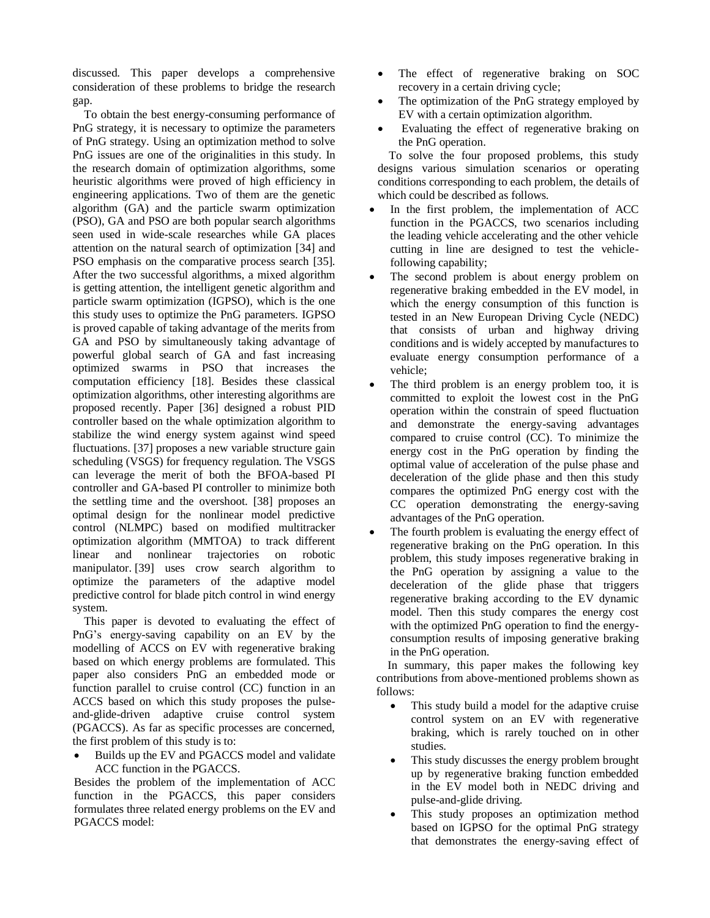discussed. This paper develops a comprehensive consideration of these problems to bridge the research gap.

To obtain the best energy-consuming performance of PnG strategy, it is necessary to optimize the parameters of PnG strategy. Using an optimization method to solve PnG issues are one of the originalities in this study. In the research domain of optimization algorithms, some heuristic algorithms were proved of high efficiency in engineering applications. Two of them are the genetic algorithm (GA) and the particle swarm optimization (PSO), GA and PSO are both popular search algorithms seen used in wide-scale researches while GA places attention on the natural search of optimization [34] and PSO emphasis on the comparative process search [35]. After the two successful algorithms, a mixed algorithm is getting attention, the intelligent genetic algorithm and particle swarm optimization (IGPSO), which is the one this study uses to optimize the PnG parameters. IGPSO is proved capable of taking advantage of the merits from GA and PSO by simultaneously taking advantage of powerful global search of GA and fast increasing optimized swarms in PSO that increases the computation efficiency [18]. Besides these classical optimization algorithms, other interesting algorithms are proposed recently. Paper [36] designed a robust PID controller based on the whale optimization algorithm to stabilize the wind energy system against wind speed fluctuations. [37] proposes a new variable structure gain scheduling (VSGS) for frequency regulation. The VSGS can leverage the merit of both the BFOA-based PI controller and GA-based PI controller to minimize both the settling time and the overshoot. [38] proposes an optimal design for the nonlinear model predictive control (NLMPC) based on modified multitracker optimization algorithm (MMTOA) to track different linear and nonlinear trajectories on robotic manipulator. [39] uses crow search algorithm to optimize the parameters of the adaptive model predictive control for blade pitch control in wind energy system.

This paper is devoted to evaluating the effect of PnG's energy-saving capability on an EV by the modelling of ACCS on EV with regenerative braking based on which energy problems are formulated. This paper also considers PnG an embedded mode or function parallel to cruise control (CC) function in an ACCS based on which this study proposes the pulseand-glide-driven adaptive cruise control system (PGACCS). As far as specific processes are concerned, the first problem of this study is to:

• Builds up the EV and PGACCS model and validate ACC function in the PGACCS.

Besides the problem of the implementation of ACC function in the PGACCS, this paper considers formulates three related energy problems on the EV and PGACCS model:

- The effect of regenerative braking on SOC recovery in a certain driving cycle;
- The optimization of the PnG strategy employed by EV with a certain optimization algorithm.
- Evaluating the effect of regenerative braking on the PnG operation.

To solve the four proposed problems, this study designs various simulation scenarios or operating conditions corresponding to each problem, the details of which could be described as follows.

- In the first problem, the implementation of ACC function in the PGACCS, two scenarios including the leading vehicle accelerating and the other vehicle cutting in line are designed to test the vehiclefollowing capability;
- The second problem is about energy problem on regenerative braking embedded in the EV model, in which the energy consumption of this function is tested in an New European Driving Cycle (NEDC) that consists of urban and highway driving conditions and is widely accepted by manufactures to evaluate energy consumption performance of a vehicle;
- The third problem is an energy problem too, it is committed to exploit the lowest cost in the PnG operation within the constrain of speed fluctuation and demonstrate the energy-saving advantages compared to cruise control (CC). To minimize the energy cost in the PnG operation by finding the optimal value of acceleration of the pulse phase and deceleration of the glide phase and then this study compares the optimized PnG energy cost with the CC operation demonstrating the energy-saving advantages of the PnG operation.
- The fourth problem is evaluating the energy effect of regenerative braking on the PnG operation. In this problem, this study imposes regenerative braking in the PnG operation by assigning a value to the deceleration of the glide phase that triggers regenerative braking according to the EV dynamic model. Then this study compares the energy cost with the optimized PnG operation to find the energyconsumption results of imposing generative braking in the PnG operation.

In summary, this paper makes the following key contributions from above-mentioned problems shown as follows:

- This study build a model for the adaptive cruise control system on an EV with regenerative braking, which is rarely touched on in other studies.
- This study discusses the energy problem brought up by regenerative braking function embedded in the EV model both in NEDC driving and pulse-and-glide driving.
- This study proposes an optimization method based on IGPSO for the optimal PnG strategy that demonstrates the energy-saving effect of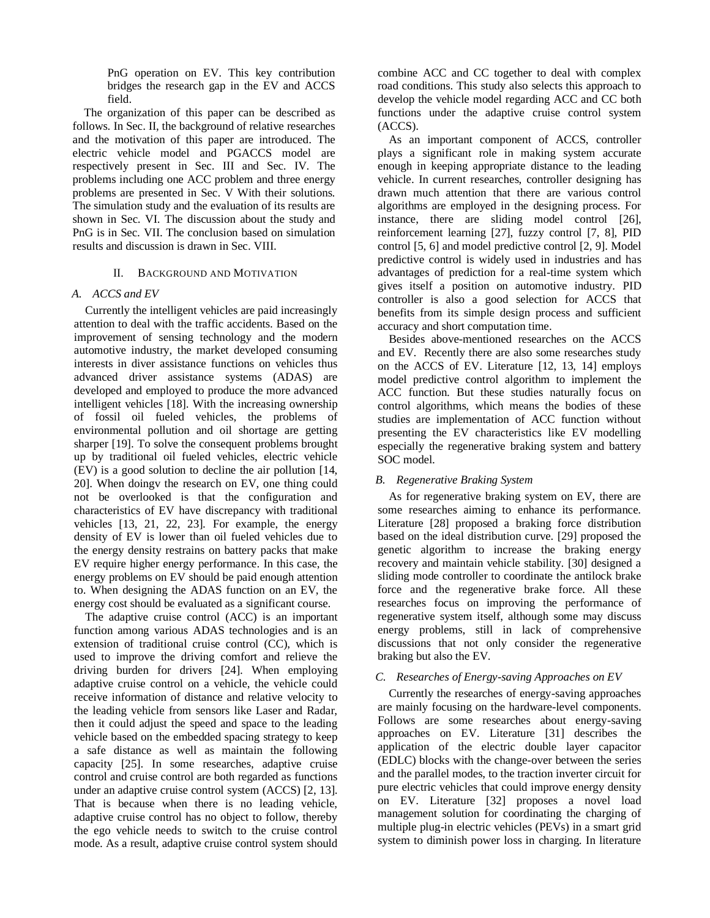PnG operation on EV. This key contribution bridges the research gap in the EV and ACCS field.

The organization of this paper can be described as follows. In Sec. II, the background of relative researches and the motivation of this paper are introduced. The electric vehicle model and PGACCS model are respectively present in Sec. III and Sec. IV. The problems including one ACC problem and three energy problems are presented in Sec. V With their solutions. The simulation study and the evaluation of its results are shown in Sec. VI. The discussion about the study and PnG is in Sec. VII. The conclusion based on simulation results and discussion is drawn in Sec. VIII.

## II. BACKGROUND AND MOTIVATION

## *A. ACCS and EV*

Currently the intelligent vehicles are paid increasingly attention to deal with the traffic accidents. Based on the improvement of sensing technology and the modern automotive industry, the market developed consuming interests in diver assistance functions on vehicles thus advanced driver assistance systems (ADAS) are developed and employed to produce the more advanced intelligent vehicles [18]. With the increasing ownership of fossil oil fueled vehicles, the problems of environmental pollution and oil shortage are getting sharper [19]. To solve the consequent problems brought up by traditional oil fueled vehicles, electric vehicle (EV) is a good solution to decline the air pollution [14, 20]. When doingv the research on EV, one thing could not be overlooked is that the configuration and characteristics of EV have discrepancy with traditional vehicles [13, 21, 22, 23]. For example, the energy density of EV is lower than oil fueled vehicles due to the energy density restrains on battery packs that make EV require higher energy performance. In this case, the energy problems on EV should be paid enough attention to. When designing the ADAS function on an EV, the energy cost should be evaluated as a significant course.

The adaptive cruise control (ACC) is an important function among various ADAS technologies and is an extension of traditional cruise control (CC), which is used to improve the driving comfort and relieve the driving burden for drivers [24]. When employing adaptive cruise control on a vehicle, the vehicle could receive information of distance and relative velocity to the leading vehicle from sensors like Laser and Radar, then it could adjust the speed and space to the leading vehicle based on the embedded spacing strategy to keep a safe distance as well as maintain the following capacity [25]. In some researches, adaptive cruise control and cruise control are both regarded as functions under an adaptive cruise control system (ACCS) [2, 13]. That is because when there is no leading vehicle, adaptive cruise control has no object to follow, thereby the ego vehicle needs to switch to the cruise control mode. As a result, adaptive cruise control system should

combine ACC and CC together to deal with complex road conditions. This study also selects this approach to develop the vehicle model regarding ACC and CC both functions under the adaptive cruise control system (ACCS).

As an important component of ACCS, controller plays a significant role in making system accurate enough in keeping appropriate distance to the leading vehicle. In current researches, controller designing has drawn much attention that there are various control algorithms are employed in the designing process. For instance, there are sliding model control [26], reinforcement learning [27], fuzzy control [7, 8], PID control [5, 6] and model predictive control [2, 9]. Model predictive control is widely used in industries and has advantages of prediction for a real-time system which gives itself a position on automotive industry. PID controller is also a good selection for ACCS that benefits from its simple design process and sufficient accuracy and short computation time.

Besides above-mentioned researches on the ACCS and EV. Recently there are also some researches study on the ACCS of EV. Literature [12, 13, 14] employs model predictive control algorithm to implement the ACC function. But these studies naturally focus on control algorithms, which means the bodies of these studies are implementation of ACC function without presenting the EV characteristics like EV modelling especially the regenerative braking system and battery SOC model.

## *B. Regenerative Braking System*

As for regenerative braking system on EV, there are some researches aiming to enhance its performance. Literature [28] proposed a braking force distribution based on the ideal distribution curve. [29] proposed the genetic algorithm to increase the braking energy recovery and maintain vehicle stability. [30] designed a sliding mode controller to coordinate the antilock brake force and the regenerative brake force. All these researches focus on improving the performance of regenerative system itself, although some may discuss energy problems, still in lack of comprehensive discussions that not only consider the regenerative braking but also the EV.

## *C. Researches of Energy-saving Approaches on EV*

Currently the researches of energy-saving approaches are mainly focusing on the hardware-level components. Follows are some researches about energy-saving approaches on EV. Literature [31] describes the application of the electric double layer capacitor (EDLC) blocks with the change-over between the series and the parallel modes, to the traction inverter circuit for pure electric vehicles that could improve energy density on EV. Literature [32] proposes a novel load management solution for coordinating the charging of multiple plug-in electric vehicles (PEVs) in a smart grid system to diminish power loss in charging. In literature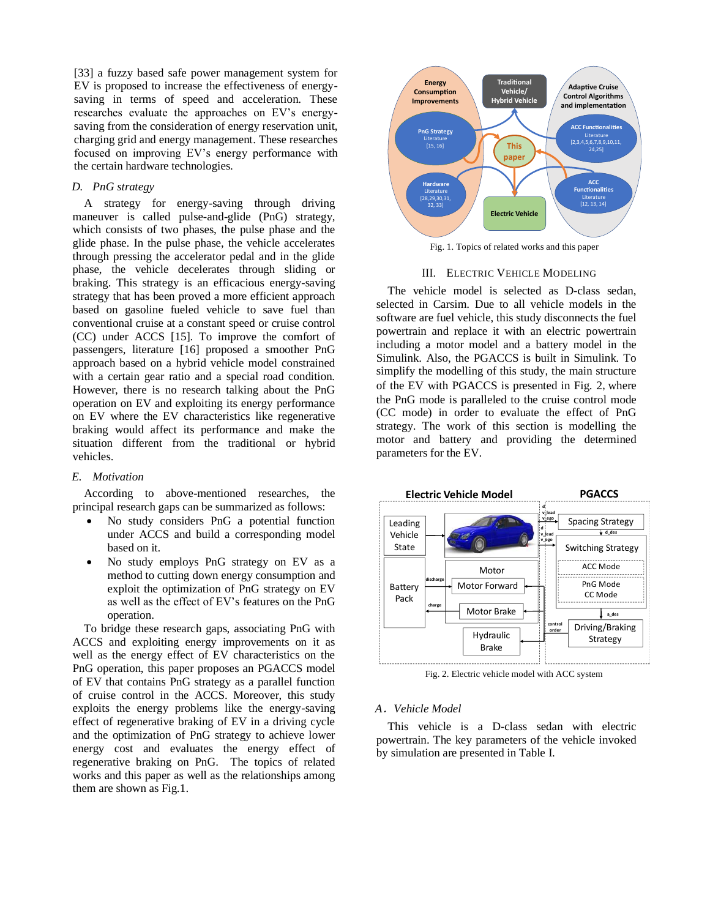[33] a fuzzy based safe power management system for EV is proposed to increase the effectiveness of energysaving in terms of speed and acceleration. These researches evaluate the approaches on EV's energysaving from the consideration of energy reservation unit, charging grid and energy management. These researches focused on improving EV's energy performance with the certain hardware technologies.

## *D. PnG strategy*

A strategy for energy-saving through driving maneuver is called pulse-and-glide (PnG) strategy, which consists of two phases, the pulse phase and the glide phase. In the pulse phase, the vehicle accelerates through pressing the accelerator pedal and in the glide phase, the vehicle decelerates through sliding or braking. This strategy is an efficacious energy-saving strategy that has been proved a more efficient approach based on gasoline fueled vehicle to save fuel than conventional cruise at a constant speed or cruise control (CC) under ACCS [15]. To improve the comfort of passengers, literature [16] proposed a smoother PnG approach based on a hybrid vehicle model constrained with a certain gear ratio and a special road condition. However, there is no research talking about the PnG operation on EV and exploiting its energy performance on EV where the EV characteristics like regenerative braking would affect its performance and make the situation different from the traditional or hybrid vehicles.

## *E. Motivation*

According to above-mentioned researches, the principal research gaps can be summarized as follows:

- No study considers PnG a potential function under ACCS and build a corresponding model based on it.
- No study employs PnG strategy on EV as a method to cutting down energy consumption and exploit the optimization of PnG strategy on EV as well as the effect of EV's features on the PnG operation.

To bridge these research gaps, associating PnG with ACCS and exploiting energy improvements on it as well as the energy effect of EV characteristics on the PnG operation, this paper proposes an PGACCS model of EV that contains PnG strategy as a parallel function of cruise control in the ACCS. Moreover, this study exploits the energy problems like the energy-saving effect of regenerative braking of EV in a driving cycle and the optimization of PnG strategy to achieve lower energy cost and evaluates the energy effect of regenerative braking on PnG. The topics of related works and this paper as well as the relationships among them are shown as Fig.1.



Fig. 1. Topics of related works and this paper

#### III. ELECTRIC VEHICLE MODELING

The vehicle model is selected as D-class sedan, selected in Carsim. Due to all vehicle models in the software are fuel vehicle, this study disconnects the fuel powertrain and replace it with an electric powertrain including a motor model and a battery model in the Simulink. Also, the PGACCS is built in Simulink. To simplify the modelling of this study, the main structure of the EV with PGACCS is presented in Fig. 2,where the PnG mode is paralleled to the cruise control mode (CC mode) in order to evaluate the effect of PnG strategy. The work of this section is modelling the motor and battery and providing the determined parameters for the EV.



Fig. 2. Electric vehicle model with ACC system

#### *A*.*Vehicle Model*

This vehicle is a D-class sedan with electric powertrain. The key parameters of the vehicle invoked by simulation are presented in Table I.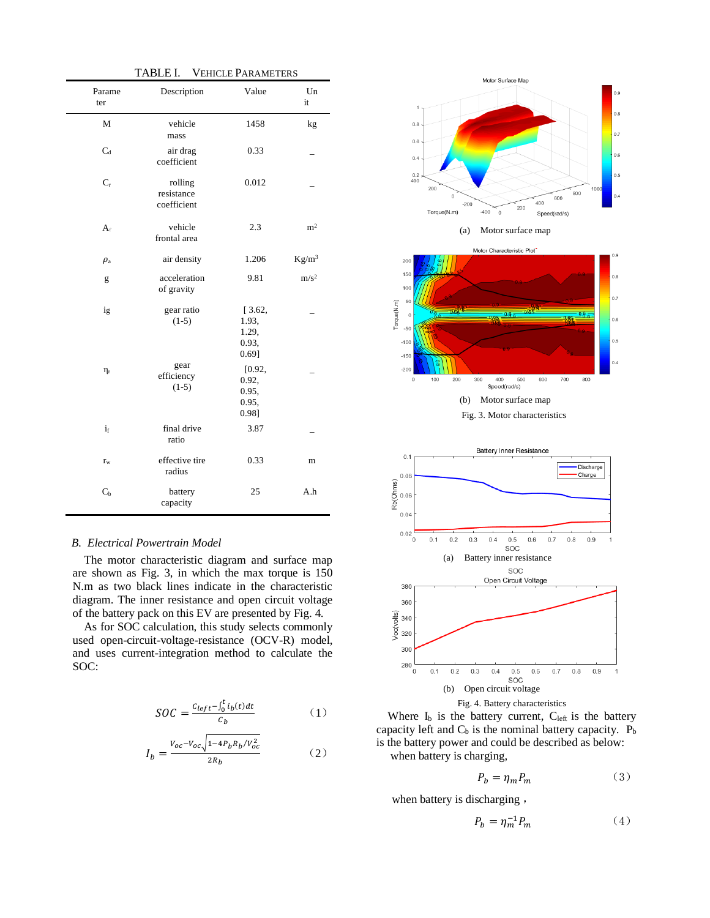| Parame<br>ter | Description                          | Value                                      | Un<br>it       |
|---------------|--------------------------------------|--------------------------------------------|----------------|
| M             | vehicle<br>mass                      | 1458                                       | kg             |
| $C_d$         | air drag<br>coefficient              | 0.33                                       |                |
| $C_{r}$       | rolling<br>resistance<br>coefficient | 0.012                                      |                |
| $A_f$         | vehicle<br>frontal area              | 2.3                                        | m <sup>2</sup> |
| $\rho_a$      | air density                          | 1.206                                      | $Kg/m^3$       |
| g             | acceleration<br>of gravity           | 9.81                                       | $m/s^2$        |
| ig            | gear ratio<br>$(1-5)$                | [3.62,<br>1.93,<br>1.29,<br>0.93,<br>0.69] |                |
| $\eta_r$      | gear<br>efficiency<br>$(1-5)$        | [0.92,<br>0.92,<br>0.95,<br>0.95,<br>0.981 |                |
| $i_{\rm f}$   | final drive<br>ratio                 | 3.87                                       |                |
| $r_{w}$       | effective tire<br>radius             | 0.33                                       | m              |
| $C_{b}$       | battery<br>capacity                  | 25                                         | A.h            |

TABLE I. VEHICLE PARAMETERS

## *B. Electrical Powertrain Model*

The motor characteristic diagram and surface map are shown as Fig. 3, in which the max torque is 150 N.m as two black lines indicate in the characteristic diagram. The inner resistance and open circuit voltage of the battery pack on this EV are presented by Fig. 4.

As for SOC calculation, this study selects commonly used open-circuit-voltage-resistance (OCV-R) model, and uses current-integration method to calculate the SOC:

$$
SOC = \frac{c_{left} - \int_{0}^{t} i_b(t)dt}{c_b} \tag{1}
$$

$$
I_b = \frac{V_{oc} - V_{oc}}{2R_b} \left(1 - 4P_b R_b / V_{oc}^2\right) \tag{2}
$$







Where  $I_b$  is the battery current,  $C_{\text{left}}$  is the battery capacity left and  $C_b$  is the nominal battery capacity.  $P_b$ is the battery power and could be described as below: when battery is charging,

$$
P_b = \eta_m P_m \tag{3}
$$

when battery is discharging ,

$$
P_b = \eta_m^{-1} P_m \tag{4}
$$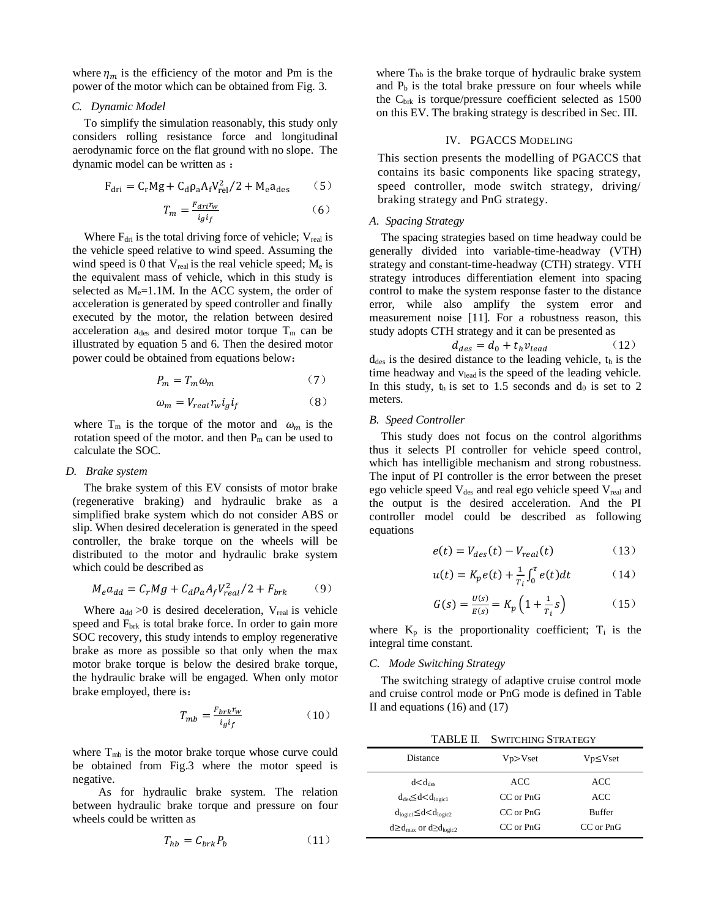where  $\eta_m$  is the efficiency of the motor and Pm is the power of the motor which can be obtained from Fig. 3.

#### *C. Dynamic Model*

To simplify the simulation reasonably, this study only considers rolling resistance force and longitudinal aerodynamic force on the flat ground with no slope. The dynamic model can be written as :

$$
\mathbf{F}_{\text{dri}} = \mathbf{C}_{\text{r}} \mathbf{M} \mathbf{g} + \mathbf{C}_{\text{d}} \rho_{\text{a}} \mathbf{A}_{\text{f}} \mathbf{V}_{\text{rel}}^2 / 2 + \mathbf{M}_{\text{e}} \mathbf{a}_{\text{des}} \qquad (5)
$$

$$
T_m = \frac{F_{dir}r_w}{i_g i_f} \tag{6}
$$

Where  $F_{\text{dri}}$  is the total driving force of vehicle;  $V_{\text{real}}$  is the vehicle speed relative to wind speed. Assuming the wind speed is 0 that  $V_{\text{real}}$  is the real vehicle speed;  $M_e$  is the equivalent mass of vehicle, which in this study is selected as  $M_e=1.1M$ . In the ACC system, the order of acceleration is generated by speed controller and finally executed by the motor, the relation between desired acceleration  $a_{des}$  and desired motor torque  $T_m$  can be illustrated by equation 5 and 6. Then the desired motor power could be obtained from equations below:

$$
P_m = T_m \omega_m \tag{7}
$$

$$
\omega_m = V_{real} r_w i_g i_f \tag{8}
$$

where  $T_m$  is the torque of the motor and  $\omega_m$  is the rotation speed of the motor. and then  $P_m$  can be used to calculate the SOC.

#### *D. Brake system*

The brake system of this EV consists of motor brake (regenerative braking) and hydraulic brake as a simplified brake system which do not consider ABS or slip. When desired deceleration is generated in the speed controller, the brake torque on the wheels will be distributed to the motor and hydraulic brake system which could be described as

$$
M_e a_{dd} = C_r Mg + C_d \rho_a A_f V_{real}^2 / 2 + F_{brk} \tag{9}
$$

Where  $a_{dd} > 0$  is desired deceleration,  $V_{real}$  is vehicle speed and F<sub>brk</sub> is total brake force. In order to gain more SOC recovery, this study intends to employ regenerative brake as more as possible so that only when the max motor brake torque is below the desired brake torque, the hydraulic brake will be engaged. When only motor brake employed, there is:

$$
T_{mb} = \frac{F_{brk} r_w}{i_g i_f} \tag{10}
$$

where  $T_{mb}$  is the motor brake torque whose curve could be obtained from Fig.3 where the motor speed is negative.

 As for hydraulic brake system. The relation between hydraulic brake torque and pressure on four wheels could be written as

$$
T_{hb} = C_{brk} P_b \tag{11}
$$

where  $T_{hb}$  is the brake torque of hydraulic brake system and  $P_b$  is the total brake pressure on four wheels while the  $C_{\text{brk}}$  is torque/pressure coefficient selected as 1500 on this EV. The braking strategy is described in Sec. III.

## IV. PGACCS MODELING

This section presents the modelling of PGACCS that contains its basic components like spacing strategy, speed controller, mode switch strategy, driving/ braking strategy and PnG strategy.

## *A. Spacing Strategy*

The spacing strategies based on time headway could be generally divided into variable-time-headway (VTH) strategy and constant-time-headway (CTH) strategy. VTH strategy introduces differentiation element into spacing control to make the system response faster to the distance error, while also amplify the system error and measurement noise [11]. For a robustness reason, this study adopts CTH strategy and it can be presented as

$$
d_{des} = d_0 + t_h v_{lead} \tag{12}
$$

 $d_{des}$  is the desired distance to the leading vehicle,  $t_h$  is the time headway and  $v_{lead}$  is the speed of the leading vehicle. In this study,  $t<sub>h</sub>$  is set to 1.5 seconds and  $d<sub>0</sub>$  is set to 2 meters.

#### *B. Speed Controller*

This study does not focus on the control algorithms thus it selects PI controller for vehicle speed control, which has intelligible mechanism and strong robustness. The input of PI controller is the error between the preset ego vehicle speed V<sub>des</sub> and real ego vehicle speed V<sub>real</sub> and the output is the desired acceleration. And the PI controller model could be described as following equations

$$
e(t) = V_{des}(t) - V_{real}(t) \tag{13}
$$

$$
u(t) = K_p e(t) + \frac{1}{T_i} \int_0^{\tau} e(t) dt
$$
 (14)

$$
G(s) = \frac{U(s)}{E(s)} = K_p \left( 1 + \frac{1}{T_i} s \right) \tag{15}
$$

where  $K_p$  is the proportionality coefficient;  $T_i$  is the integral time constant.

## *C. Mode Switching Strategy*

The switching strategy of adaptive cruise control mode and cruise control mode or PnG mode is defined in Table II and equations (16) and (17)

TABLE II. SWITCHING STRATEGY

| <b>Distance</b>                                       | $Vp > V$ set | $Vp\leq V$ set |
|-------------------------------------------------------|--------------|----------------|
| $d < d_{des}$                                         | ACC.         | ACC.           |
| $d_{des} \leq d \leq d_{\text{logical}}$              | CC or PnG    | ACC.           |
| $d_{\text{local}} \leq d \leq d_{\text{local}}$       | CC or PnG    | <b>Buffer</b>  |
| $d \geq d_{\text{max}}$ or $d \geq d_{\text{locic2}}$ | CC or PnG    | CC or PnG      |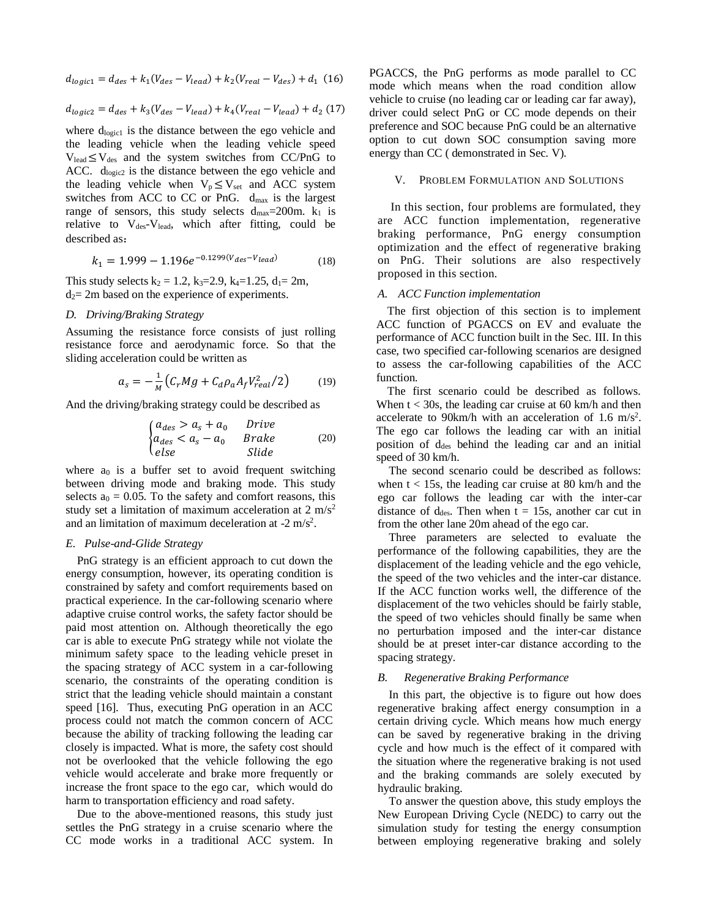$$
d_{logic1} = d_{des} + k_1(V_{des} - V_{lead}) + k_2(V_{real} - V_{des}) + d_1 (16)
$$

$$
d_{logic2} = d_{des} + k_3(V_{des} - V_{lead}) + k_4(V_{real} - V_{lead}) + d_2(17)
$$

where  $d_{\text{logic1}}$  is the distance between the ego vehicle and the leading vehicle when the leading vehicle speed Vlead≤Vdes and the system switches from CC/PnG to ACC.  $d_{logic2}$  is the distance between the ego vehicle and the leading vehicle when  $V_p \leq V_{\text{set}}$  and ACC system switches from ACC to CC or PnG.  $d_{max}$  is the largest range of sensors, this study selects  $d_{max}=200$ m.  $k_1$  is relative to  $V_{des} - V_{lead}$ , which after fitting, could be described as:

$$
k_1 = 1.999 - 1.196e^{-0.1299(V_{des} - V_{lead})}
$$
\n(18)

This study selects  $k_2 = 1.2$ ,  $k_3 = 2.9$ ,  $k_4 = 1.25$ ,  $d_1 = 2m$ ,  $d_2$ = 2m based on the experience of experiments.

## *D. Driving/Braking Strategy*

Assuming the resistance force consists of just rolling resistance force and aerodynamic force. So that the sliding acceleration could be written as

$$
a_{s} = -\frac{1}{M} \left( C_{r} Mg + C_{d} \rho_{a} A_{f} V_{real}^{2} / 2 \right)
$$
 (19)

And the driving/braking strategy could be described as

$$
\begin{cases}\n a_{des} > a_s + a_0 & Drive \\
a_{des} < a_s - a_0 & Brake \\
else & Silide\n\end{cases}\n\tag{20}
$$

where  $a_0$  is a buffer set to avoid frequent switching between driving mode and braking mode. This study selects  $a_0 = 0.05$ . To the safety and comfort reasons, this study set a limitation of maximum acceleration at  $2 \text{ m/s}^2$ and an limitation of maximum deceleration at  $-2$  m/s<sup>2</sup>.

#### *E. Pulse-and-Glide Strategy*

PnG strategy is an efficient approach to cut down the energy consumption, however, its operating condition is constrained by safety and comfort requirements based on practical experience. In the car-following scenario where adaptive cruise control works, the safety factor should be paid most attention on. Although theoretically the ego car is able to execute PnG strategy while not violate the minimum safety space to the leading vehicle preset in the spacing strategy of ACC system in a car-following scenario, the constraints of the operating condition is strict that the leading vehicle should maintain a constant speed [16]. Thus, executing PnG operation in an ACC process could not match the common concern of ACC because the ability of tracking following the leading car closely is impacted. What is more, the safety cost should not be overlooked that the vehicle following the ego vehicle would accelerate and brake more frequently or increase the front space to the ego car, which would do harm to transportation efficiency and road safety.

Due to the above-mentioned reasons, this study just settles the PnG strategy in a cruise scenario where the CC mode works in a traditional ACC system. In PGACCS, the PnG performs as mode parallel to CC mode which means when the road condition allow vehicle to cruise (no leading car or leading car far away), driver could select PnG or CC mode depends on their preference and SOC because PnG could be an alternative option to cut down SOC consumption saving more energy than CC ( demonstrated in Sec. V).

#### V. PROBLEM FORMULATION AND SOLUTIONS

 In this section, four problems are formulated, they are ACC function implementation, regenerative braking performance, PnG energy consumption optimization and the effect of regenerative braking on PnG. Their solutions are also respectively proposed in this section.

#### *A. ACC Function implementation*

The first objection of this section is to implement ACC function of PGACCS on EV and evaluate the performance of ACC function built in the Sec. III. In this case, two specified car-following scenarios are designed to assess the car-following capabilities of the ACC function.

The first scenario could be described as follows. When  $t < 30s$ , the leading car cruise at 60 km/h and then accelerate to 90km/h with an acceleration of 1.6 m/s<sup>2</sup>. The ego car follows the leading car with an initial position of ddes behind the leading car and an initial speed of 30 km/h.

The second scenario could be described as follows: when  $t < 15s$ , the leading car cruise at 80 km/h and the ego car follows the leading car with the inter-car distance of  $d_{des}$ . Then when  $t = 15s$ , another car cut in from the other lane 20m ahead of the ego car.

Three parameters are selected to evaluate the performance of the following capabilities, they are the displacement of the leading vehicle and the ego vehicle, the speed of the two vehicles and the inter-car distance. If the ACC function works well, the difference of the displacement of the two vehicles should be fairly stable, the speed of two vehicles should finally be same when no perturbation imposed and the inter-car distance should be at preset inter-car distance according to the spacing strategy.

## *B. Regenerative Braking Performance*

In this part, the objective is to figure out how does regenerative braking affect energy consumption in a certain driving cycle. Which means how much energy can be saved by regenerative braking in the driving cycle and how much is the effect of it compared with the situation where the regenerative braking is not used and the braking commands are solely executed by hydraulic braking.

To answer the question above, this study employs the New European Driving Cycle (NEDC) to carry out the simulation study for testing the energy consumption between employing regenerative braking and solely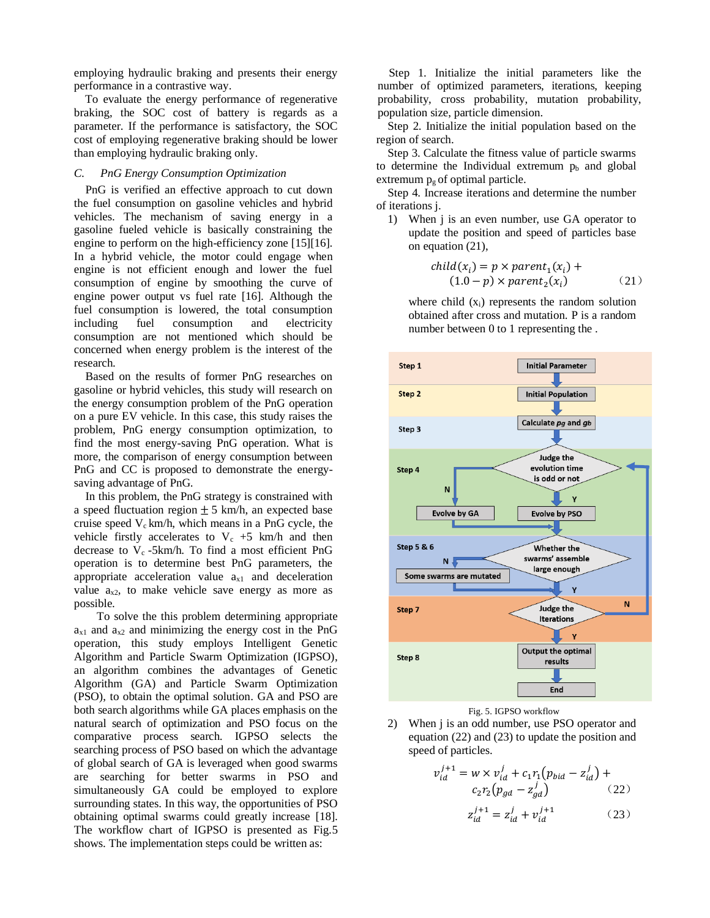employing hydraulic braking and presents their energy performance in a contrastive way.

To evaluate the energy performance of regenerative braking, the SOC cost of battery is regards as a parameter. If the performance is satisfactory, the SOC cost of employing regenerative braking should be lower than employing hydraulic braking only.

## *C. PnG Energy Consumption Optimization*

PnG is verified an effective approach to cut down the fuel consumption on gasoline vehicles and hybrid vehicles. The mechanism of saving energy in a gasoline fueled vehicle is basically constraining the engine to perform on the high-efficiency zone [15][16]. In a hybrid vehicle, the motor could engage when engine is not efficient enough and lower the fuel consumption of engine by smoothing the curve of engine power output vs fuel rate [16]. Although the fuel consumption is lowered, the total consumption including fuel consumption and electricity consumption are not mentioned which should be concerned when energy problem is the interest of the research.

Based on the results of former PnG researches on gasoline or hybrid vehicles, this study will research on the energy consumption problem of the PnG operation on a pure EV vehicle. In this case, this study raises the problem, PnG energy consumption optimization, to find the most energy-saving PnG operation. What is more, the comparison of energy consumption between PnG and CC is proposed to demonstrate the energysaving advantage of PnG.

In this problem, the PnG strategy is constrained with a speed fluctuation region  $\pm$  5 km/h, an expected base cruise speed  $V_c$  km/h, which means in a PnG cycle, the vehicle firstly accelerates to  $V_c$  +5 km/h and then decrease to  $V_c$  -5km/h. To find a most efficient PnG operation is to determine best PnG parameters, the appropriate acceleration value  $a_{x1}$  and deceleration value  $a_{x2}$ , to make vehicle save energy as more as possible.

 To solve the this problem determining appropriate  $a_{x1}$  and  $a_{x2}$  and minimizing the energy cost in the PnG operation, this study employs Intelligent Genetic Algorithm and Particle Swarm Optimization (IGPSO), an algorithm combines the advantages of Genetic Algorithm (GA) and Particle Swarm Optimization (PSO), to obtain the optimal solution. GA and PSO are both search algorithms while GA places emphasis on the natural search of optimization and PSO focus on the comparative process search. IGPSO selects the searching process of PSO based on which the advantage of global search of GA is leveraged when good swarms are searching for better swarms in PSO and simultaneously GA could be employed to explore surrounding states. In this way, the opportunities of PSO obtaining optimal swarms could greatly increase [18]. The workflow chart of IGPSO is presented as Fig.5 shows. The implementation steps could be written as:

Step 1. Initialize the initial parameters like the number of optimized parameters, iterations, keeping probability, cross probability, mutation probability, population size, particle dimension.

Step 2. Initialize the initial population based on the region of search.

Step 3. Calculate the fitness value of particle swarms to determine the Individual extremum  $p_b$  and global extremum  $p_g$  of optimal particle.

Step 4. Increase iterations and determine the number of iterations j.

1) When j is an even number, use GA operator to update the position and speed of particles base on equation (21),

$$
child(xi) = p \times parent1(xi) +(1.0 - p) \times parent2(xi)
$$
 (21)

where child  $(x_i)$  represents the random solution obtained after cross and mutation. P is a random number between 0 to 1 representing the .



Fig. 5. IGPSO workflow

2) When j is an odd number, use PSO operator and equation (22) and (23) to update the position and speed of particles.

$$
v_{id}^{j+1} = w \times v_{id}^j + c_1 r_1 (p_{bid} - z_{id}^j) + c_2 r_2 (p_{gd} - z_{gd}^j)
$$
 (22)

$$
z_{id}^{j+1} = z_{id}^j + v_{id}^{j+1}
$$
 (23)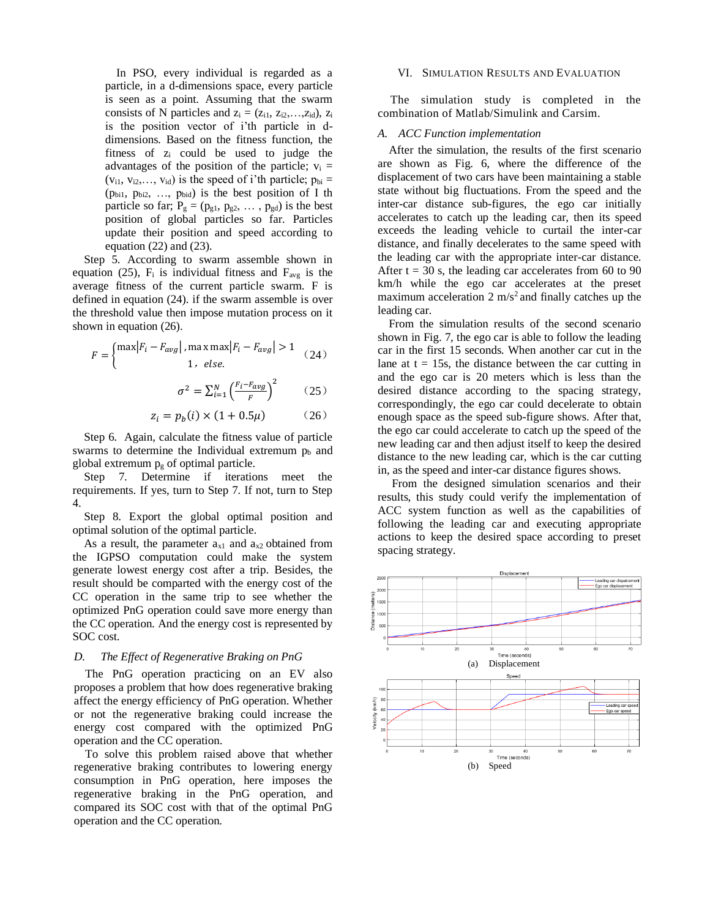In PSO, every individual is regarded as a particle, in a d-dimensions space, every particle is seen as a point. Assuming that the swarm consists of N particles and  $z_i = (z_{i1}, z_{i2}, \ldots, z_{id})$ ,  $z_i$ is the position vector of i'th particle in ddimensions. Based on the fitness function, the fitness of z<sup>i</sup> could be used to judge the advantages of the position of the particle;  $v_i$  =  $(v_{i1}, v_{i2},..., v_{id})$  is the speed of i'th particle;  $p_{bi} =$  $(p_{\text{bil}}, p_{\text{bi2}}, ..., p_{\text{bid}})$  is the best position of I th particle so far;  $P_g = (p_{g1}, p_{g2}, \dots, p_{gd})$  is the best position of global particles so far. Particles update their position and speed according to equation  $(22)$  and  $(23)$ .

Step 5. According to swarm assemble shown in equation (25),  $F_i$  is individual fitness and  $F_{avg}$  is the average fitness of the current particle swarm. F is defined in equation (24). if the swarm assemble is over the threshold value then impose mutation process on it shown in equation (26).

$$
F = \begin{cases} \max |F_i - F_{avg}|, \max \max |F_i - F_{avg}| > 1\\ 1, \text{ else.} \end{cases} (24)
$$

$$
\sigma^2 = \sum_{i=1}^{N} \left( \frac{F_i - F_{avg}}{F} \right)^2 \qquad (25)
$$

$$
z_i = p_b(i) \times (1 + 0.5\mu) \tag{26}
$$

Step 6. Again, calculate the fitness value of particle swarms to determine the Individual extremum  $p_b$  and global extremum  $p_g$  of optimal particle.

Step 7. Determine if iterations meet the requirements. If yes, turn to Step 7. If not, turn to Step 4.

Step 8. Export the global optimal position and optimal solution of the optimal particle.

As a result, the parameter  $a_{x1}$  and  $a_{x2}$  obtained from the IGPSO computation could make the system generate lowest energy cost after a trip. Besides, the result should be comparted with the energy cost of the CC operation in the same trip to see whether the optimized PnG operation could save more energy than the CC operation. And the energy cost is represented by SOC cost.

#### *D. The Effect of Regenerative Braking on PnG*

The PnG operation practicing on an EV also proposes a problem that how does regenerative braking affect the energy efficiency of PnG operation. Whether or not the regenerative braking could increase the energy cost compared with the optimized PnG operation and the CC operation.

To solve this problem raised above that whether regenerative braking contributes to lowering energy consumption in PnG operation, here imposes the regenerative braking in the PnG operation, and compared its SOC cost with that of the optimal PnG operation and the CC operation.

#### VI. SIMULATION RESULTS AND EVALUATION

 The simulation study is completed in the combination of Matlab/Simulink and Carsim.

### *A. ACC Function implementation*

After the simulation, the results of the first scenario are shown as Fig. 6, where the difference of the displacement of two cars have been maintaining a stable state without big fluctuations. From the speed and the inter-car distance sub-figures, the ego car initially accelerates to catch up the leading car, then its speed exceeds the leading vehicle to curtail the inter-car distance, and finally decelerates to the same speed with the leading car with the appropriate inter-car distance. After  $t = 30$  s, the leading car accelerates from 60 to 90 km/h while the ego car accelerates at the preset maximum acceleration  $2 \text{ m/s}^2$  and finally catches up the leading car.

From the simulation results of the second scenario shown in Fig. 7, the ego car is able to follow the leading car in the first 15 seconds. When another car cut in the lane at  $t = 15s$ , the distance between the car cutting in and the ego car is 20 meters which is less than the desired distance according to the spacing strategy, correspondingly, the ego car could decelerate to obtain enough space as the speed sub-figure shows. After that, the ego car could accelerate to catch up the speed of the new leading car and then adjust itself to keep the desired distance to the new leading car, which is the car cutting in, as the speed and inter-car distance figures shows.

From the designed simulation scenarios and their results, this study could verify the implementation of ACC system function as well as the capabilities of following the leading car and executing appropriate actions to keep the desired space according to preset spacing strategy.

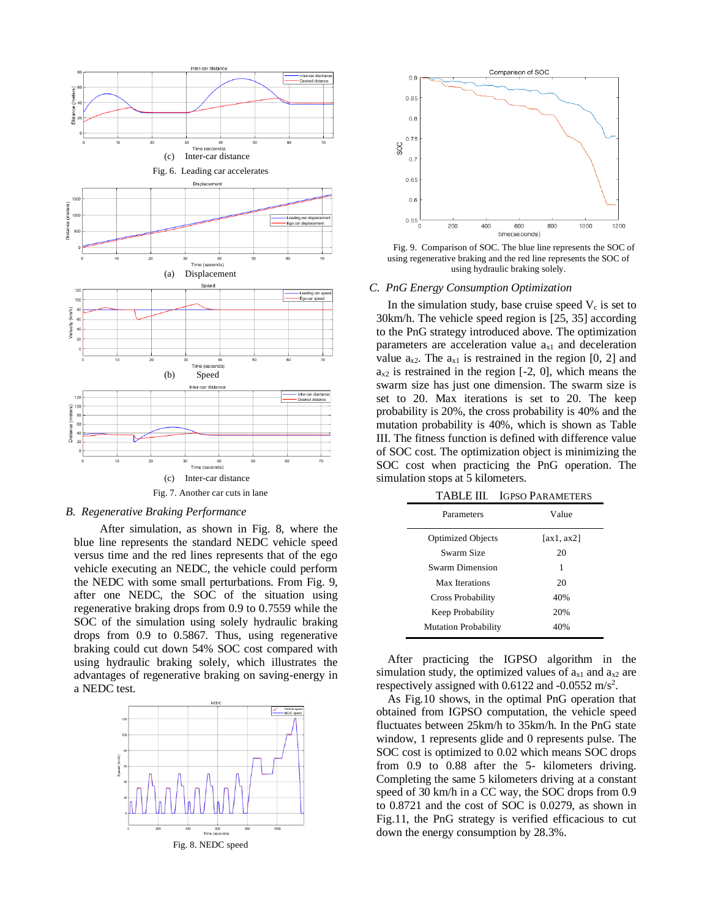

## *B. Regenerative Braking Performance*

 After simulation, as shown in Fig. 8, where the blue line represents the standard NEDC vehicle speed versus time and the red lines represents that of the ego vehicle executing an NEDC, the vehicle could perform the NEDC with some small perturbations. From Fig. 9, after one NEDC, the SOC of the situation using regenerative braking drops from 0.9 to 0.7559 while the SOC of the simulation using solely hydraulic braking drops from 0.9 to 0.5867. Thus, using regenerative braking could cut down 54% SOC cost compared with using hydraulic braking solely, which illustrates the advantages of regenerative braking on saving-energy in a NEDC test.







Fig. 9. Comparison of SOC. The blue line represents the SOC of using regenerative braking and the red line represents the SOC of using hydraulic braking solely.

#### *C. PnG Energy Consumption Optimization*

In the simulation study, base cruise speed  $V_c$  is set to 30km/h. The vehicle speed region is [25, 35] according to the PnG strategy introduced above. The optimization parameters are acceleration value  $a_{x1}$  and deceleration value  $a_{x2}$ . The  $a_{x1}$  is restrained in the region [0, 2] and  $a_{x2}$  is restrained in the region [-2, 0], which means the swarm size has just one dimension. The swarm size is set to 20. Max iterations is set to 20. The keep probability is 20%, the cross probability is 40% and the mutation probability is 40%, which is shown as Table III. The fitness function is defined with difference value of SOC cost. The optimization object is minimizing the SOC cost when practicing the PnG operation. The simulation stops at 5 kilometers.

|                             | <b>TABLE III. IGPSO PARAMETERS</b> |
|-----------------------------|------------------------------------|
| Parameters                  | Value                              |
| <b>Optimized Objects</b>    | [ $ax1, ax2$ ]                     |
| Swarm Size                  | 20                                 |
| <b>Swarm Dimension</b>      | 1                                  |
| Max Iterations              | 20                                 |
| <b>Cross Probability</b>    | 40%                                |
| Keep Probability            | 20%                                |
| <b>Mutation Probability</b> | 40%                                |

After practicing the IGPSO algorithm in the simulation study, the optimized values of  $a_{x1}$  and  $a_{x2}$  are respectively assigned with  $0.6122$  and  $-0.0552$  m/s<sup>2</sup>.

As Fig.10 shows, in the optimal PnG operation that obtained from IGPSO computation, the vehicle speed fluctuates between 25km/h to 35km/h. In the PnG state window, 1 represents glide and 0 represents pulse. The SOC cost is optimized to 0.02 which means SOC drops from 0.9 to 0.88 after the 5- kilometers driving. Completing the same 5 kilometers driving at a constant speed of 30 km/h in a CC way, the SOC drops from 0.9 to 0.8721 and the cost of SOC is 0.0279, as shown in Fig.11, the PnG strategy is verified efficacious to cut down the energy consumption by 28.3%.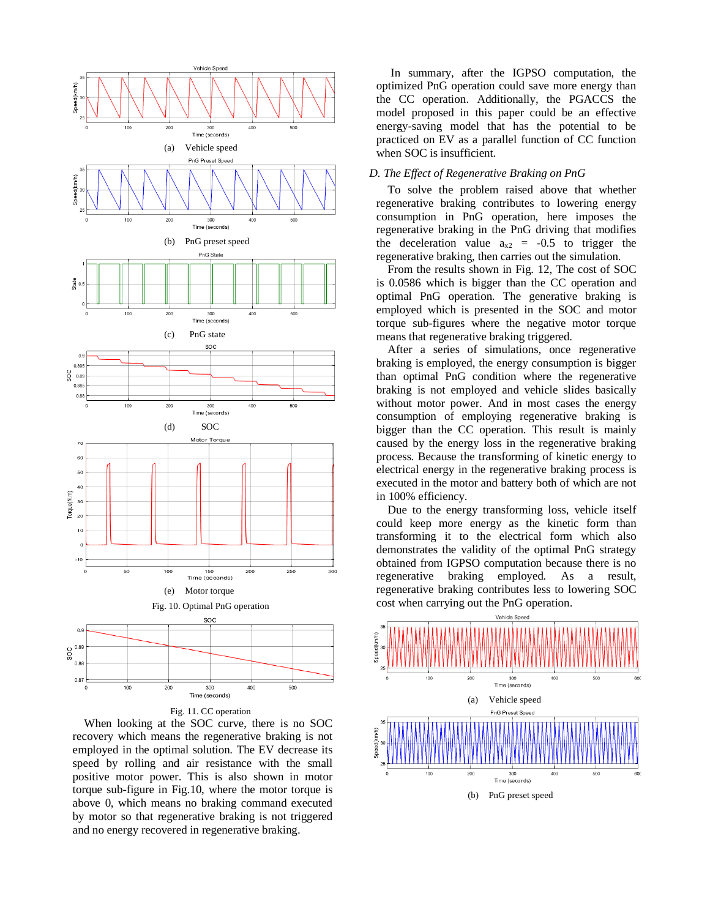



When looking at the SOC curve, there is no SOC recovery which means the regenerative braking is not employed in the optimal solution. The EV decrease its speed by rolling and air resistance with the small positive motor power. This is also shown in motor torque sub-figure in Fig.10, where the motor torque is above 0, which means no braking command executed by motor so that regenerative braking is not triggered and no energy recovered in regenerative braking.

In summary, after the IGPSO computation, the optimized PnG operation could save more energy than the CC operation. Additionally, the PGACCS the model proposed in this paper could be an effective energy-saving model that has the potential to be practiced on EV as a parallel function of CC function when SOC is insufficient.

#### *D. The Effect of Regenerative Braking on PnG*

To solve the problem raised above that whether regenerative braking contributes to lowering energy consumption in PnG operation, here imposes the regenerative braking in the PnG driving that modifies the deceleration value  $a_{x2} = -0.5$  to trigger the regenerative braking, then carries out the simulation.

From the results shown in Fig. 12, The cost of SOC is 0.0586 which is bigger than the CC operation and optimal PnG operation. The generative braking is employed which is presented in the SOC and motor torque sub-figures where the negative motor torque means that regenerative braking triggered.

After a series of simulations, once regenerative braking is employed, the energy consumption is bigger than optimal PnG condition where the regenerative braking is not employed and vehicle slides basically without motor power. And in most cases the energy consumption of employing regenerative braking is bigger than the CC operation. This result is mainly caused by the energy loss in the regenerative braking process. Because the transforming of kinetic energy to electrical energy in the regenerative braking process is executed in the motor and battery both of which are not in 100% efficiency.

Due to the energy transforming loss, vehicle itself could keep more energy as the kinetic form than transforming it to the electrical form which also demonstrates the validity of the optimal PnG strategy obtained from IGPSO computation because there is no regenerative braking employed. As a result, regenerative braking contributes less to lowering SOC cost when carrying out the PnG operation.

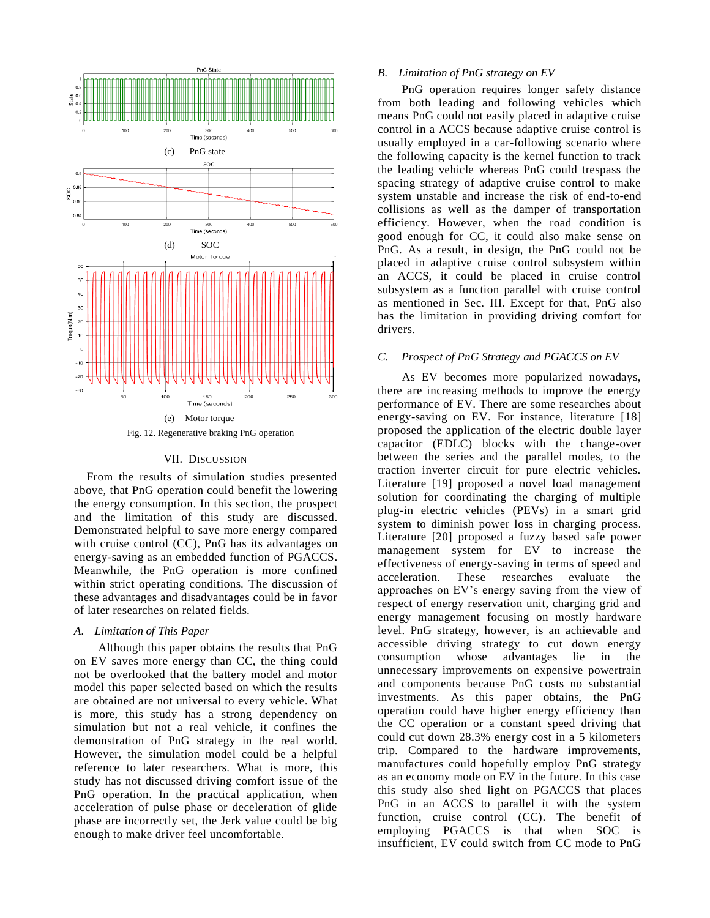

Fig. 12. Regenerative braking PnG operation

### VII. DISCUSSION

From the results of simulation studies presented above, that PnG operation could benefit the lowering the energy consumption. In this section, the prospect and the limitation of this study are discussed. Demonstrated helpful to save more energy compared with cruise control (CC), PnG has its advantages on energy-saving as an embedded function of PGACCS. Meanwhile, the PnG operation is more confined within strict operating conditions. The discussion of these advantages and disadvantages could be in favor of later researches on related fields.

#### *A. Limitation of This Paper*

 Although this paper obtains the results that PnG on EV saves more energy than CC, the thing could not be overlooked that the battery model and motor model this paper selected based on which the results are obtained are not universal to every vehicle. What is more, this study has a strong dependency on simulation but not a real vehicle, it confines the demonstration of PnG strategy in the real world. However, the simulation model could be a helpful reference to later researchers. What is more, this study has not discussed driving comfort issue of the PnG operation. In the practical application, when acceleration of pulse phase or deceleration of glide phase are incorrectly set, the Jerk value could be big enough to make driver feel uncomfortable.

#### *B. Limitation of PnG strategy on EV*

 PnG operation requires longer safety distance from both leading and following vehicles which means PnG could not easily placed in adaptive cruise control in a ACCS because adaptive cruise control is usually employed in a car-following scenario where the following capacity is the kernel function to track the leading vehicle whereas PnG could trespass the spacing strategy of adaptive cruise control to make system unstable and increase the risk of end-to-end collisions as well as the damper of transportation efficiency. However, when the road condition is good enough for CC, it could also make sense on PnG. As a result, in design, the PnG could not be placed in adaptive cruise control subsystem within an ACCS, it could be placed in cruise control subsystem as a function parallel with cruise control as mentioned in Sec. III. Except for that, PnG also has the limitation in providing driving comfort for drivers.

#### *C. Prospect of PnG Strategy and PGACCS on EV*

 As EV becomes more popularized nowadays, there are increasing methods to improve the energy performance of EV. There are some researches about energy-saving on EV. For instance, literature [18] proposed the application of the electric double layer capacitor (EDLC) blocks with the change-over between the series and the parallel modes, to the traction inverter circuit for pure electric vehicles. Literature [19] proposed a novel load management solution for coordinating the charging of multiple plug-in electric vehicles (PEVs) in a smart grid system to diminish power loss in charging process. Literature [20] proposed a fuzzy based safe power management system for EV to increase the effectiveness of energy-saving in terms of speed and acceleration. These researches evaluate the approaches on EV's energy saving from the view of respect of energy reservation unit, charging grid and energy management focusing on mostly hardware level. PnG strategy, however, is an achievable and accessible driving strategy to cut down energy consumption whose advantages lie in the unnecessary improvements on expensive powertrain and components because PnG costs no substantial investments. As this paper obtains, the PnG operation could have higher energy efficiency than the CC operation or a constant speed driving that could cut down 28.3% energy cost in a 5 kilometers trip. Compared to the hardware improvements, manufactures could hopefully employ PnG strategy as an economy mode on EV in the future. In this case this study also shed light on PGACCS that places PnG in an ACCS to parallel it with the system function, cruise control (CC). The benefit of employing PGACCS is that when SOC is insufficient, EV could switch from CC mode to PnG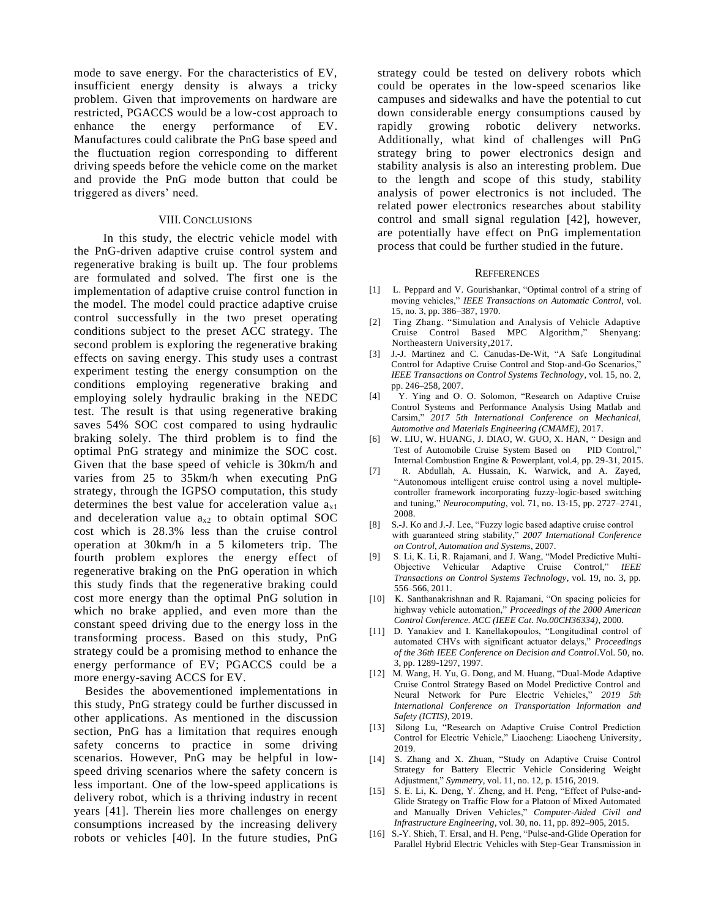mode to save energy. For the characteristics of EV, insufficient energy density is always a tricky problem. Given that improvements on hardware are restricted, PGACCS would be a low-cost approach to enhance the energy performance of EV. Manufactures could calibrate the PnG base speed and the fluctuation region corresponding to different driving speeds before the vehicle come on the market and provide the PnG mode button that could be triggered as divers' need.

#### VIII. CONCLUSIONS

 In this study, the electric vehicle model with the PnG-driven adaptive cruise control system and regenerative braking is built up. The four problems are formulated and solved. The first one is the implementation of adaptive cruise control function in the model. The model could practice adaptive cruise control successfully in the two preset operating conditions subject to the preset ACC strategy. The second problem is exploring the regenerative braking effects on saving energy. This study uses a contrast experiment testing the energy consumption on the conditions employing regenerative braking and employing solely hydraulic braking in the NEDC test. The result is that using regenerative braking saves 54% SOC cost compared to using hydraulic braking solely. The third problem is to find the optimal PnG strategy and minimize the SOC cost. Given that the base speed of vehicle is 30km/h and varies from 25 to 35km/h when executing PnG strategy, through the IGPSO computation, this study determines the best value for acceleration value  $a_{x1}$ and deceleration value  $a_{x2}$  to obtain optimal SOC cost which is 28.3% less than the cruise control operation at 30km/h in a 5 kilometers trip. The fourth problem explores the energy effect of regenerative braking on the PnG operation in which this study finds that the regenerative braking could cost more energy than the optimal PnG solution in which no brake applied, and even more than the constant speed driving due to the energy loss in the transforming process. Based on this study, PnG strategy could be a promising method to enhance the energy performance of EV; PGACCS could be a more energy-saving ACCS for EV.

Besides the abovementioned implementations in this study, PnG strategy could be further discussed in other applications. As mentioned in the discussion section, PnG has a limitation that requires enough safety concerns to practice in some driving scenarios. However, PnG may be helpful in lowspeed driving scenarios where the safety concern is less important. One of the low-speed applications is delivery robot, which is a thriving industry in recent years [41]. Therein lies more challenges on energy consumptions increased by the increasing delivery robots or vehicles [40]. In the future studies, PnG strategy could be tested on delivery robots which could be operates in the low-speed scenarios like campuses and sidewalks and have the potential to cut down considerable energy consumptions caused by rapidly growing robotic delivery networks. Additionally, what kind of challenges will PnG strategy bring to power electronics design and stability analysis is also an interesting problem. Due to the length and scope of this study, stability analysis of power electronics is not included. The related power electronics researches about stability control and small signal regulation [42], however, are potentially have effect on PnG implementation process that could be further studied in the future.

#### **REFFERENCES**

- [1] L. Peppard and V. Gourishankar, "Optimal control of a string of moving vehicles," *IEEE Transactions on Automatic Control*, vol. 15, no. 3, pp. 386–387, 1970.
- [2] Ting Zhang. "Simulation and Analysis of Vehicle Adaptive Cruise Control Based MPC Algorithm," Shenyang: Northeastern University,2017.
- [3] J.-J. Martinez and C. Canudas-De-Wit, "A Safe Longitudinal Control for Adaptive Cruise Control and Stop-and-Go Scenarios," *IEEE Transactions on Control Systems Technology*, vol. 15, no. 2, pp. 246–258, 2007.
- [4] Y. Ying and O. O. Solomon, "Research on Adaptive Cruise Control Systems and Performance Analysis Using Matlab and Carsim," *2017 5th International Conference on Mechanical, Automotive and Materials Engineering (CMAME)*, 2017.
- [6] W. LIU, W. HUANG, J. DIAO, W. GUO, X. HAN, " Design and Test of Automobile Cruise System Based on PID Control," Internal Combustion Engine & Powerplant, vol.4, pp. 29-31, 2015.
- [7] R. Abdullah, A. Hussain, K. Warwick, and A. Zayed, "Autonomous intelligent cruise control using a novel multiplecontroller framework incorporating fuzzy-logic-based switching and tuning," *Neurocomputing*, vol. 71, no. 13-15, pp. 2727–2741, 2008.
- [8] S.-J. Ko and J.-J. Lee, "Fuzzy logic based adaptive cruise control with guaranteed string stability," *2007 International Conference on Control, Automation and Systems*, 2007.
- [9] S. Li, K. Li, R. Rajamani, and J. Wang, "Model Predictive Multi-Objective Vehicular Adaptive Cruise Control," *IEEE Transactions on Control Systems Technology*, vol. 19, no. 3, pp. 556–566, 2011.
- [10] K. Santhanakrishnan and R. Rajamani, "On spacing policies for highway vehicle automation," *Proceedings of the 2000 American Control Conference. ACC (IEEE Cat. No.00CH36334)*, 2000.
- [11] D. Yanakiev and I. Kanellakopoulos, "Longitudinal control of automated CHVs with significant actuator delays," *Proceedings of the 36th IEEE Conference on Decision and Control*.Vol. 50, no. 3, pp. 1289-1297, 1997.
- [12] M. Wang, H. Yu, G. Dong, and M. Huang, "Dual-Mode Adaptive Cruise Control Strategy Based on Model Predictive Control and Neural Network for Pure Electric Vehicles," *2019 5th International Conference on Transportation Information and Safety (ICTIS)*, 2019.
- [13] Silong Lu, "Research on Adaptive Cruise Control Prediction Control for Electric Vehicle," Liaocheng: Liaocheng University, 2019.
- [14] S. Zhang and X. Zhuan, "Study on Adaptive Cruise Control Strategy for Battery Electric Vehicle Considering Weight Adjustment," *Symmetry*, vol. 11, no. 12, p. 1516, 2019.
- [15] S. E. Li, K. Deng, Y. Zheng, and H. Peng, "Effect of Pulse-and-Glide Strategy on Traffic Flow for a Platoon of Mixed Automated and Manually Driven Vehicles," *Computer-Aided Civil and Infrastructure Engineering*, vol. 30, no. 11, pp. 892–905, 2015.
- [16] S.-Y. Shieh, T. Ersal, and H. Peng, "Pulse-and-Glide Operation for Parallel Hybrid Electric Vehicles with Step-Gear Transmission in